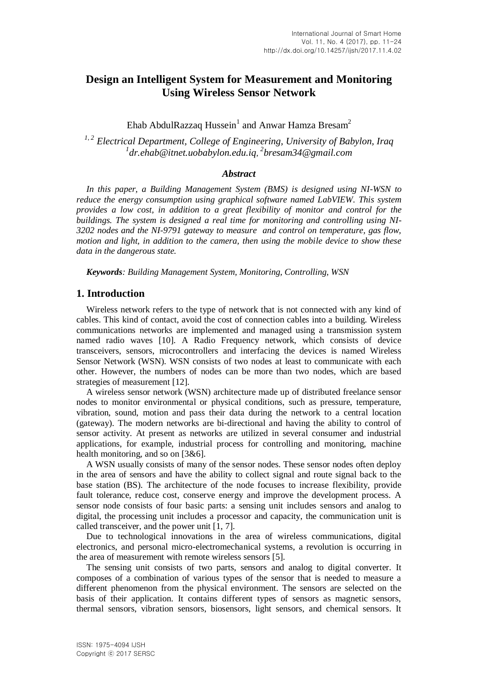# **Design an Intelligent System for Measurement and Monitoring Using Wireless Sensor Network**

Ehab AbdulRazzaq Hussein<sup>1</sup> and Anwar Hamza Bresam<sup>2</sup>

<sup>1, 2</sup> Electrical Department, College of Engineering, University of Babylon, Iraq *1 dr.ehab@itnet.uobabylon.edu.iq*, *2 bresam34@gmail.com*

#### *Abstract*

*In this paper, a Building Management System (BMS) is designed using NI-WSN to reduce the energy consumption using graphical software named LabVIEW. This system provides a low cost, in addition to a great flexibility of monitor and control for the buildings. The system is designed a real time for monitoring and controlling using NI-3202 nodes and the NI-9791 gateway to measure and control on temperature, gas flow, motion and light, in addition to the camera, then using the mobile device to show these data in the dangerous state.*

*Keywords: Building Management System, Monitoring, Controlling, WSN*

### **1. Introduction**

Wireless network refers to the type of network that is not connected with any kind of cables. This kind of contact, avoid the cost of connection cables into a building. Wireless communications networks are implemented and managed using a transmission system named radio waves [10]. A Radio Frequency network, which consists of device transceivers, sensors, microcontrollers and interfacing the devices is named Wireless Sensor Network (WSN). WSN consists of two nodes at least to communicate with each other. However, the numbers of nodes can be more than two nodes, which are based strategies of measurement [12].

A wireless sensor network (WSN) architecture made up of distributed freelance sensor nodes to monitor environmental or physical conditions, such as pressure, temperature, vibration, sound, motion and pass their data during the network to a central location (gateway). The modern networks are bi-directional and having the ability to control of sensor activity. At present as networks are utilized in several consumer and industrial applications, for example, industrial process for controlling and monitoring, machine health monitoring, and so on [3&6].

A WSN usually consists of many of the sensor nodes. These sensor nodes often deploy in the area of sensors and have the ability to collect signal and route signal back to the base station (BS). The architecture of the node focuses to increase flexibility, provide fault tolerance, reduce cost, conserve energy and improve the development process. A sensor node consists of four basic parts: a sensing unit includes sensors and analog to digital, the processing unit includes a processor and capacity, the communication unit is called transceiver, and the power unit [1, 7].

Due to technological innovations in the area of wireless communications, digital electronics, and personal micro-electromechanical systems, a revolution is occurring in the area of measurement with remote wireless sensors [5].

The sensing unit consists of two parts, sensors and analog to digital converter. It composes of a combination of various types of the sensor that is needed to measure a different phenomenon from the physical environment. The sensors are selected on the basis of their application. It contains different types of sensors as magnetic sensors, thermal sensors, vibration sensors, biosensors, light sensors, and chemical sensors. It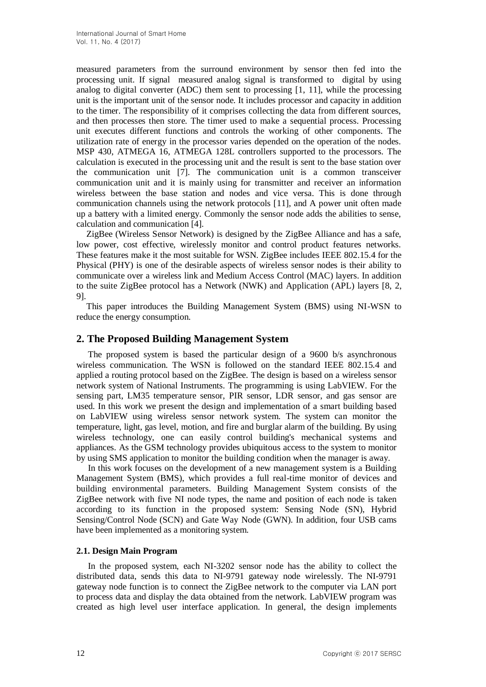measured parameters from the surround environment by sensor then fed into the processing unit. If signal measured analog signal is transformed to digital by using analog to digital converter (ADC) them sent to processing [1, 11], while the processing unit is the important unit of the sensor node. It includes processor and capacity in addition to the timer. The responsibility of it comprises collecting the data from different sources, and then processes then store. The timer used to make a sequential process. Processing unit executes different functions and controls the working of other components. The utilization rate of energy in the processor varies depended on the operation of the nodes. MSP 430, ATMEGA 16, ATMEGA 128L controllers supported to the processors. The calculation is executed in the processing unit and the result is sent to the base station over the communication unit [7]. The communication unit is a common transceiver communication unit and it is mainly using for transmitter and receiver an information wireless between the base station and nodes and vice versa. This is done through communication channels using the network protocols [11], and A power unit often made up a battery with a limited energy. Commonly the sensor node adds the abilities to sense, calculation and communication [4].

ZigBee (Wireless Sensor Network) is designed by the ZigBee Alliance and has a safe, low power, cost effective, wirelessly monitor and control product features networks. These features make it the most suitable for WSN. ZigBee includes IEEE 802.15.4 for the Physical (PHY) is one of the desirable aspects of wireless sensor nodes is their ability to communicate over a wireless link and Medium Access Control (MAC) layers. In addition to the suite ZigBee protocol has a Network (NWK) and Application (APL) layers [8, 2, 9].

This paper introduces the Building Management System (BMS) using NI-WSN to reduce the energy consumption.

### **2. The Proposed Building Management System**

The proposed system is based the particular design of a 9600 b/s asynchronous wireless communication. The WSN is followed on the standard IEEE 802.15.4 and applied a routing protocol based on the ZigBee. The design is based on a wireless sensor network system of National Instruments. The programming is using LabVIEW. For the sensing part, LM35 temperature sensor, PIR sensor, LDR sensor, and gas sensor are used. In this work we present the design and implementation of a smart building based on LabVIEW using wireless sensor network system. The system can monitor the temperature, light, gas level, motion, and fire and burglar alarm of the building. By using wireless technology, one can easily control building's mechanical systems and appliances. As the GSM technology provides ubiquitous access to the system to monitor by using SMS application to monitor the building condition when the manager is away.

In this work focuses on the development of a new management system is a Building Management System (BMS), which provides a full real-time monitor of devices and building environmental parameters. Building Management System consists of the ZigBee network with five NI node types, the name and position of each node is taken according to its function in the proposed system: Sensing Node (SN), Hybrid Sensing/Control Node (SCN) and Gate Way Node (GWN). In addition, four USB cams have been implemented as a monitoring system.

#### **2.1. Design Main Program**

In the proposed system, each NI-3202 sensor node has the ability to collect the distributed data, sends this data to NI-9791 gateway node wirelessly. The NI-9791 gateway node function is to connect the ZigBee network to the computer via LAN port to process data and display the data obtained from the network. LabVIEW program was created as high level user interface application. In general, the design implements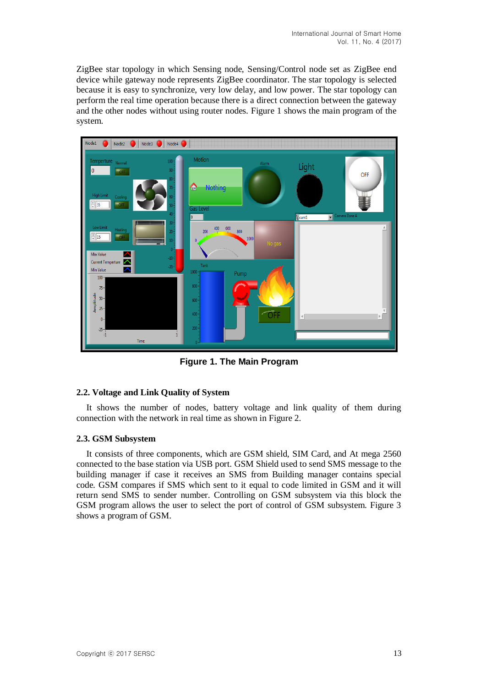ZigBee star topology in which Sensing node, Sensing/Control node set as ZigBee end device while gateway node represents ZigBee coordinator. The star topology is selected because it is easy to synchronize, very low delay, and low power. The star topology can perform the real time operation because there is a direct connection between the gateway and the other nodes without using router nodes. Figure 1 shows the main program of the system.



**Figure 1. The Main Program**

#### **2.2. Voltage and Link Quality of System**

It shows the number of nodes, battery voltage and link quality of them during connection with the network in real time as shown in Figure 2.

#### **2.3. GSM Subsystem**

It consists of three components, which are GSM shield, SIM Card, and At mega 2560 connected to the base station via USB port. GSM Shield used to send SMS message to the building manager if case it receives an SMS from Building manager contains special code. GSM compares if SMS which sent to it equal to code limited in GSM and it will return send SMS to sender number. Controlling on GSM subsystem via this block the GSM program allows the user to select the port of control of GSM subsystem. Figure 3 shows a program of GSM.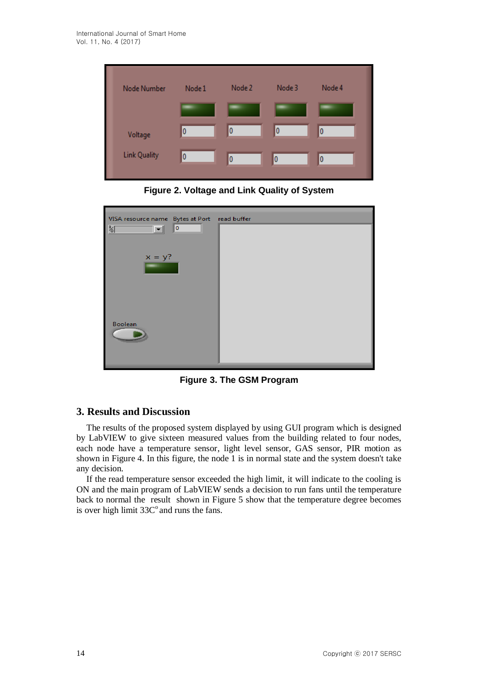

**Figure 2. Voltage and Link Quality of System**

| VISA resource name Bytes at Port read buffer              |  |
|-----------------------------------------------------------|--|
| $\overline{\phantom{a}}$<br>$\frac{I}{6}$<br>$\mathbf{r}$ |  |
| $x = y?$                                                  |  |
|                                                           |  |
|                                                           |  |
|                                                           |  |
| Boolean                                                   |  |
|                                                           |  |
|                                                           |  |

**Figure 3. The GSM Program**

## **3. Results and Discussion**

The results of the proposed system displayed by using GUI program which is designed by LabVIEW to give sixteen measured values from the building related to four nodes, each node have a temperature sensor, light level sensor, GAS sensor, PIR motion as shown in Figure 4. In this figure, the node 1 is in normal state and the system doesn't take any decision.

If the read temperature sensor exceeded the high limit, it will indicate to the cooling is ON and the main program of LabVIEW sends a decision to run fans until the temperature back to normal the result shown in Figure 5 show that the temperature degree becomes is over high limit  $33C^{\circ}$  and runs the fans.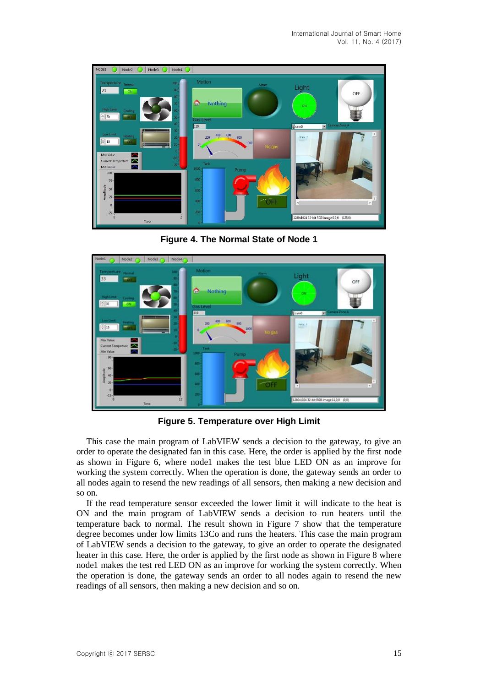

**Figure 4. The Normal State of Node 1**



**Figure 5. Temperature over High Limit**

This case the main program of LabVIEW sends a decision to the gateway, to give an order to operate the designated fan in this case. Here, the order is applied by the first node as shown in Figure 6, where node1 makes the test blue LED ON as an improve for working the system correctly. When the operation is done, the gateway sends an order to all nodes again to resend the new readings of all sensors, then making a new decision and so on.

If the read temperature sensor exceeded the lower limit it will indicate to the heat is ON and the main program of LabVIEW sends a decision to run heaters until the temperature back to normal. The result shown in Figure 7 show that the temperature degree becomes under low limits 13Co and runs the heaters. This case the main program of LabVIEW sends a decision to the gateway, to give an order to operate the designated heater in this case. Here, the order is applied by the first node as shown in Figure 8 where node1 makes the test red LED ON as an improve for working the system correctly. When the operation is done, the gateway sends an order to all nodes again to resend the new readings of all sensors, then making a new decision and so on.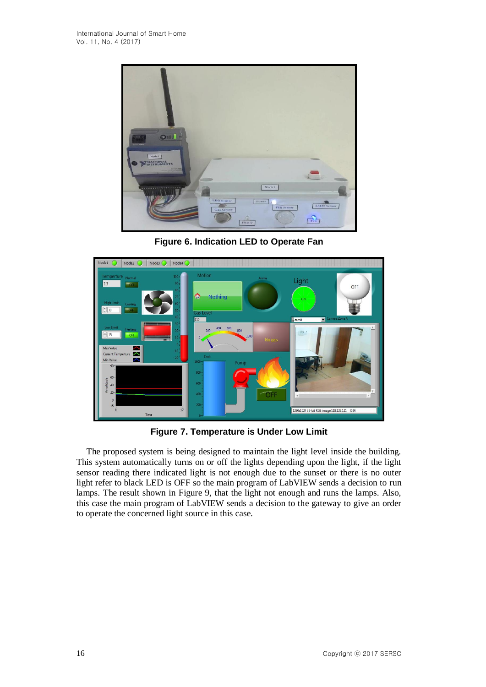

**Figure 6. Indication LED to Operate Fan**



**Figure 7. Temperature is Under Low Limit**

The proposed system is being designed to maintain the light level inside the building. This system automatically turns on or off the lights depending upon the light, if the light sensor reading there indicated light is not enough due to the sunset or there is no outer light refer to black LED is OFF so the main program of LabVIEW sends a decision to run lamps. The result shown in Figure 9, that the light not enough and runs the lamps. Also, this case the main program of LabVIEW sends a decision to the gateway to give an order to operate the concerned light source in this case.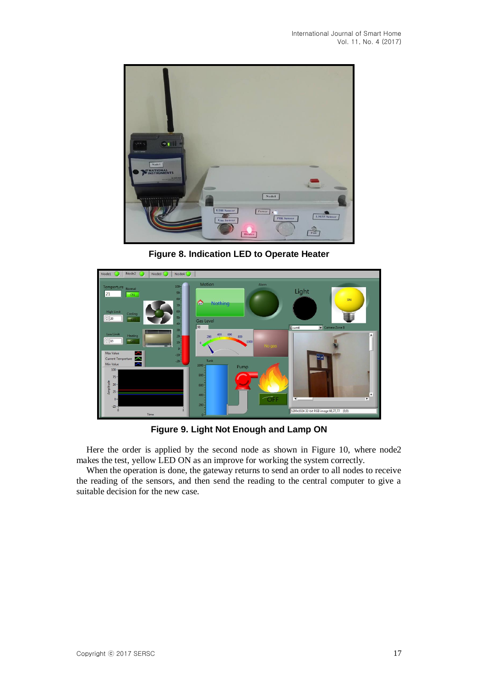

**Figure 8. Indication LED to Operate Heater**



**Figure 9. Light Not Enough and Lamp ON**

Here the order is applied by the second node as shown in Figure 10, where node2 makes the test, yellow LED ON as an improve for working the system correctly.

When the operation is done, the gateway returns to send an order to all nodes to receive the reading of the sensors, and then send the reading to the central computer to give a suitable decision for the new case.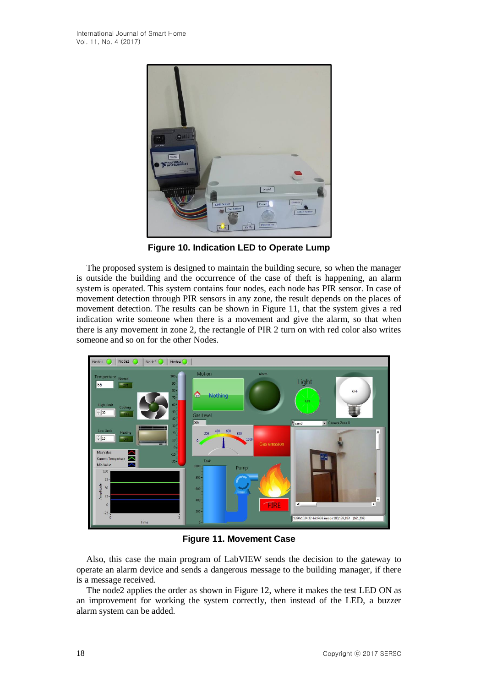

**Figure 10. Indication LED to Operate Lump**

The proposed system is designed to maintain the building secure, so when the manager is outside the building and the occurrence of the case of theft is happening, an alarm system is operated. This system contains four nodes, each node has PIR sensor. In case of movement detection through PIR sensors in any zone, the result depends on the places of movement detection. The results can be shown in Figure 11, that the system gives a red indication write someone when there is a movement and give the alarm, so that when there is any movement in zone 2, the rectangle of PIR 2 turn on with red color also writes someone and so on for the other Nodes.



**Figure 11. Movement Case**

Also, this case the main program of LabVIEW sends the decision to the gateway to operate an alarm device and sends a dangerous message to the building manager, if there is a message received.

The node2 applies the order as shown in Figure 12, where it makes the test LED ON as an improvement for working the system correctly, then instead of the LED, a buzzer alarm system can be added.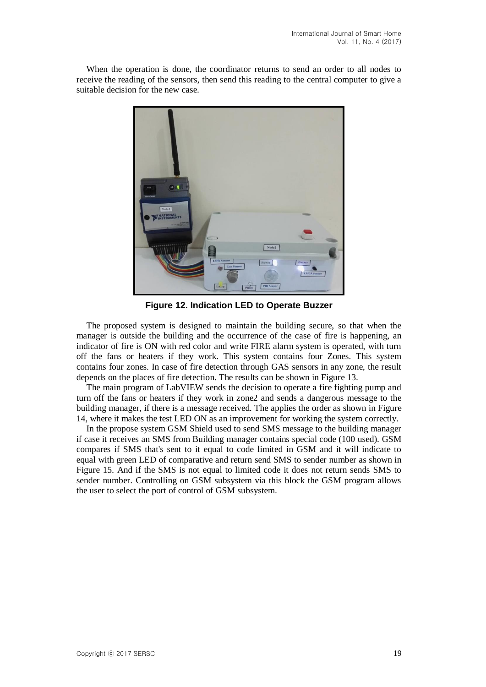When the operation is done, the coordinator returns to send an order to all nodes to receive the reading of the sensors, then send this reading to the central computer to give a suitable decision for the new case.



**Figure 12. Indication LED to Operate Buzzer**

The proposed system is designed to maintain the building secure, so that when the manager is outside the building and the occurrence of the case of fire is happening, an indicator of fire is ON with red color and write FIRE alarm system is operated, with turn off the fans or heaters if they work. This system contains four Zones. This system contains four zones. In case of fire detection through GAS sensors in any zone, the result depends on the places of fire detection. The results can be shown in Figure 13.

The main program of LabVIEW sends the decision to operate a fire fighting pump and turn off the fans or heaters if they work in zone2 and sends a dangerous message to the building manager, if there is a message received. The applies the order as shown in Figure 14, where it makes the test LED ON as an improvement for working the system correctly.

In the propose system GSM Shield used to send SMS message to the building manager if case it receives an SMS from Building manager contains special code (100 used). GSM compares if SMS that's sent to it equal to code limited in GSM and it will indicate to equal with green LED of comparative and return send SMS to sender number as shown in Figure 15. And if the SMS is not equal to limited code it does not return sends SMS to sender number. Controlling on GSM subsystem via this block the GSM program allows the user to select the port of control of GSM subsystem.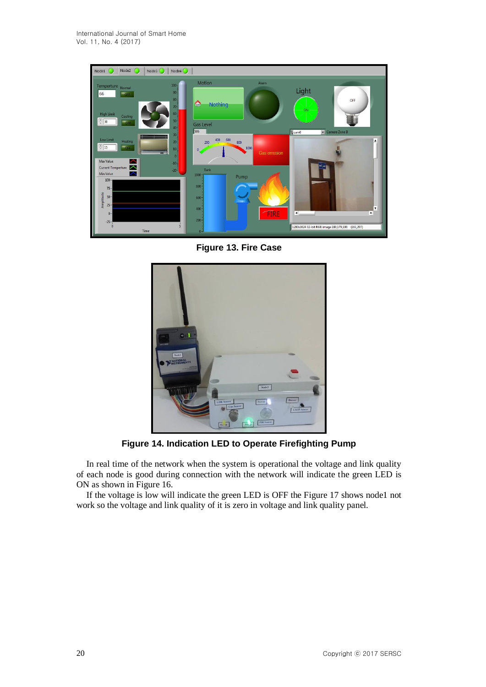

**Figure 13. Fire Case**



**Figure 14. Indication LED to Operate Firefighting Pump**

In real time of the network when the system is operational the voltage and link quality of each node is good during connection with the network will indicate the green LED is ON as shown in Figure 16.

If the voltage is low will indicate the green LED is OFF the Figure 17 shows node1 not work so the voltage and link quality of it is zero in voltage and link quality panel.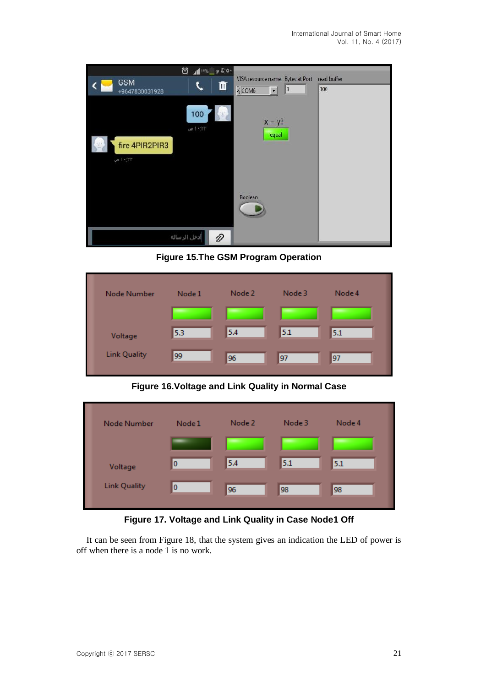| <b>GSM</b><br>+9647830031928 | 50.3 q 8VI h, 25<br>▥ | VISA resource name Bytes at Port<br>$\frac{1}{6}$ COM6<br>3<br>$\mathbf{r}$ | read buffer<br>100 |
|------------------------------|-----------------------|-----------------------------------------------------------------------------|--------------------|
| fire 4PIR2PIR3<br>۱۰:۲۳ می   | 100<br>۱۰:۱۳ ص        | $x = y$ ?<br>equal                                                          |                    |
|                              |                       | Boolean                                                                     |                    |
|                              | أدخل الرسالة<br>0     |                                                                             |                    |

**Figure 15.The GSM Program Operation**

| <b>Node Number</b>  | Node 1 | Node 2 | Node 3 | Node 4 |
|---------------------|--------|--------|--------|--------|
|                     |        |        |        |        |
| Voltage             | 5.3    | 5.4    | 5.1    | 5.1    |
| <b>Link Quality</b> | 99     | 96     | 97     | 97     |

**Figure 16.Voltage and Link Quality in Normal Case**

| Node Number         | Node 1 | Node 2 | Node 3 | Node 4 |
|---------------------|--------|--------|--------|--------|
| Voltage             | 0      | 5.4    | 5.1    | 5.1    |
| <b>Link Quality</b> | 0      | 96     | 98     | 98     |

**Figure 17. Voltage and Link Quality in Case Node1 Off**

It can be seen from Figure 18, that the system gives an indication the LED of power is off when there is a node 1 is no work.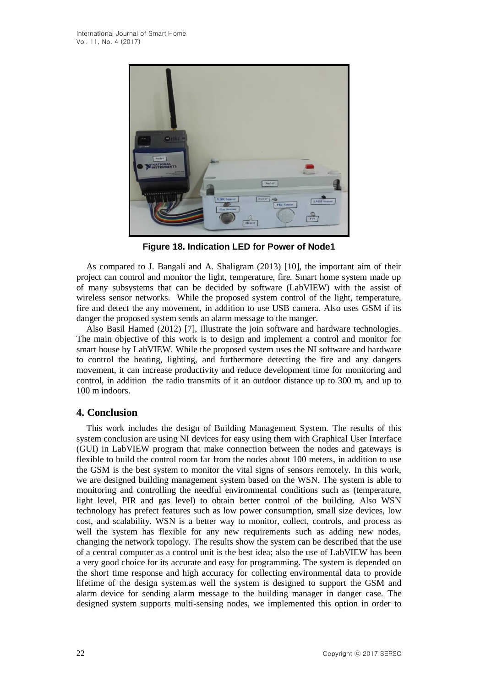

**Figure 18. Indication LED for Power of Node1**

As compared to J. Bangali and A. Shaligram (2013) [10], the important aim of their project can control and monitor the light, temperature, fire. Smart home system made up of many subsystems that can be decided by software (LabVIEW) with the assist of wireless sensor networks. While the proposed system control of the light, temperature, fire and detect the any movement, in addition to use USB camera. Also uses GSM if its danger the proposed system sends an alarm message to the manger.

Also Basil Hamed (2012) [7], illustrate the join software and hardware technologies. The main objective of this work is to design and implement a control and monitor for smart house by LabVIEW. While the proposed system uses the NI software and hardware to control the heating, lighting, and furthermore detecting the fire and any dangers movement, it can increase productivity and reduce development time for monitoring and control, in addition the radio transmits of it an outdoor distance up to 300 m, and up to 100 m indoors.

### **4. Conclusion**

This work includes the design of Building Management System. The results of this system conclusion are using NI devices for easy using them with Graphical User Interface (GUI) in LabVIEW program that make connection between the nodes and gateways is flexible to build the control room far from the nodes about 100 meters, in addition to use the GSM is the best system to monitor the vital signs of sensors remotely. In this work, we are designed building management system based on the WSN. The system is able to monitoring and controlling the needful environmental conditions such as (temperature, light level, PIR and gas level) to obtain better control of the building. Also WSN technology has prefect features such as low power consumption, small size devices, low cost, and scalability. WSN is a better way to monitor, collect, controls, and process as well the system has flexible for any new requirements such as adding new nodes, changing the network topology. The results show the system can be described that the use of a central computer as a control unit is the best idea; also the use of LabVIEW has been a very good choice for its accurate and easy for programming. The system is depended on the short time response and high accuracy for collecting environmental data to provide lifetime of the design system.as well the system is designed to support the GSM and alarm device for sending alarm message to the building manager in danger case. The designed system supports multi-sensing nodes, we implemented this option in order to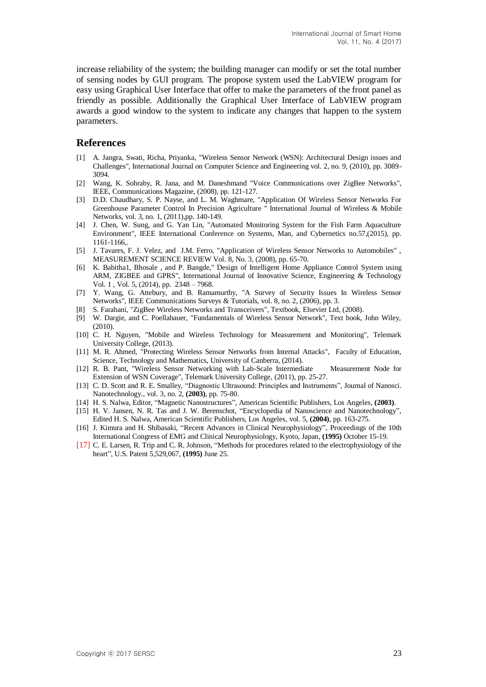increase reliability of the system; the building manager can modify or set the total number of sensing nodes by GUI program. The propose system used the LabVIEW program for easy using Graphical User Interface that offer to make the parameters of the front panel as friendly as possible. Additionally the Graphical User Interface of LabVIEW program awards a good window to the system to indicate any changes that happen to the system parameters.

#### **References**

- [1] A. Jangra, Swati, Richa, Priyanka, "Wireless Sensor Network (WSN): Architectural Design issues and Challenges", International Journal on Computer Science and Engineering vol. 2, no. 9, (2010), pp. 3089- 3094.
- [2] Wang, K. Sohraby, R. Jana, and M. Daneshmand "Voice Communications over ZigBee Networks", IEEE, Communications Magazine, (2008), pp. 121-127.
- [3] D.D. Chaudhary, S. P. Nayse, and L. M. Waghmare, "Application Of Wireless Sensor Networks For Greenhouse Parameter Control In Precision Agriculture " International Journal of Wireless & Mobile Networks, vol. 3, no. 1, (2011),pp. 140-149.
- [4] J. Chen, W. Sung, and G. Yan Lin, "Automated Monitoring System for the Fish Farm Aquaculture Environment", IEEE International Conference on Systems, Man, and Cybernetics no.57,(2015), pp. 1161-1166,.
- [5] J. Tavares, F. J. Velez, and J.M. Ferro, "Application of Wireless Sensor Networks to Automobiles" , MEASUREMENT SCIENCE REVIEW Vol. 8, No. 3, (2008), pp. 65-70.
- [6] K. Babitha1, Bhosale , and P. Bangde," Design of Intelligent Home Appliance Control System using ARM, ZIGBEE and GPRS", International Journal of Innovative Science, Engineering & Technology Vol. 1 , Vol. 5, (2014), pp. 2348 – 7968.
- [7] Y. Wang, G. Attebury, and B. Ramamurthy, "A Survey of Security Issues In Wireless Sensor Networks", IEEE Communications Surveys & Tutorials, vol. 8, no. 2, (2006), pp. 3.
- [8] S. Farahani, "ZigBee Wireless Networks and Transceivers", Textbook, Elsevier Ltd, (2008).
- [9] W. Dargie, and C. Poellabauer, "Fundamentals of Wireless Sensor Network", Text book, John Wiley, (2010).
- [10] C. H. Nguyen, "Mobile and Wireless Technology for Measurement and Monitoring", Telemark University College, (2013).
- [11] M. R. Ahmed, "Protecting Wireless Sensor Networks from Internal Attacks", Faculty of Education, Science, Technology and Mathematics, University of Canberra, (2014).
- [12] R. B. Pant, "Wireless Sensor Networking with Lab-Scale Intermediate Measurement Node for Extension of WSN Coverage", Telemark University College, (2011), pp. 25-27.
- [13] C. D. Scott and R. E. Smalley, "Diagnostic Ultrasound: Principles and Instruments", Journal of Nanosci. Nanotechnology., vol. 3, no. 2, **(2003)**, pp. 75-80.
- [14] H. S. Nalwa, Editor, "Magnetic Nanostructures", American Scientific Publishers, Los Angeles, **(2003)**.
- [15] H. V. Jansen, N. R. Tas and J. W. Berenschot, "Encyclopedia of Nanoscience and Nanotechnology", Edited H. S. Nalwa, American Scientific Publishers, Los Angeles, vol. 5, **(2004)**, pp. 163-275.
- [16] J. Kimura and H. Shibasaki, "Recent Advances in Clinical Neurophysiology", Proceedings of the 10th International Congress of EMG and Clinical Neurophysiology, Kyoto, Japan, **(1995)** October 15-19.
- [17] C. E. Larsen, R. Trip and C. R. Johnson, "Methods for procedures related to the electrophysiology of the heart", U.S. Patent 5,529,067, **(1995)** June 25.